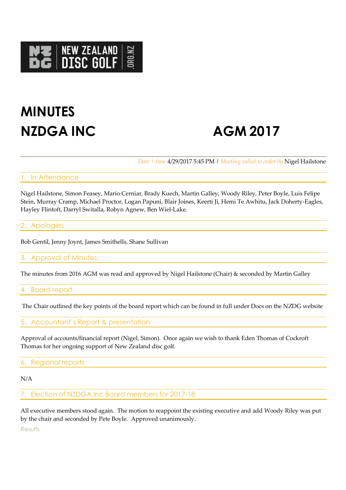

# **MINUTES NZDGA INC AGM** 2017

*Date | time* 4/29/2017 5:45 PM | *Meeting called to order by* Nigel Hailstone

### 1. In Attendance

Nigel Hailstone, Simon Feasey, Mario Cerniar, Brady Kuech, Martin Galley, Woody Riley, Peter Boyle, Luis Felipe Stein, Murray Cramp, Michael Proctor, Logan Papuni, Blair Joines, Keerti Ji, Hemi Te Awhitu, Jack Doherty-Eagles, Hayley Flintoft, Darryl Switalla, Robyn Agnew, Ben Wiel-Lake.

#### **Apologies**

Bob Gentil, Jenny Joynt, James Smithells, Shane Sullivan

#### 3. Approval of Minutes

The minutes from 2016 AGM was read and approved by Nigel Hailstone (Chair) & seconded by Martin Galley

#### 4. Board report

The Chair outlined the key points of the board report which can be found in full under Docs on the NZDG website

5. Accountant's Report & presentation

Approval of accounts/financial report (Nigel, Simon). Once again we wish to thank Eden Thomas of Cockroft Thomas for her ongoing support of New Zealand disc golf.

# 6. Regional reports

N/A

7. Election of NZDGA Inc Board members for 2017-18

All executive members stood again. The motion to reappoint the existing executive and add Woody Riley was put by the chair and seconded by Pete Boyle. Approved unanimously.

**Results**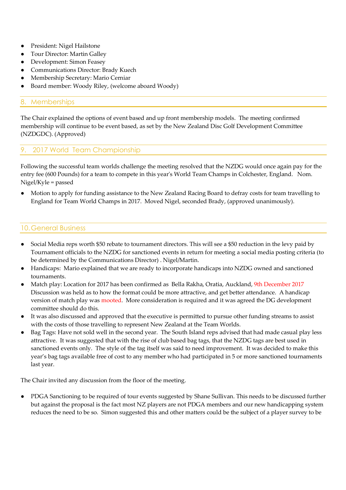- President: Nigel Hailstone
- Tour Director: Martin Galley
- Development: Simon Feasey
- Communications Director: Brady Kuech
- Membership Secretary: Mario Cerniar
- Board member: Woody Riley, (welcome aboard Woody)

# 8. Memberships

The Chair explained the options of event based and up front membership models. The meeting confirmed membership will continue to be event based, as set by the New Zealand Disc Golf Development Committee (NZDGDC). (Approved)

# 2017 World Team Championship

Following the successful team worlds challenge the meeting resolved that the NZDG would once again pay for the entry fee (600 Pounds) for a team to compete in this year's World Team Champs in Colchester, England. Nom. Nigel/Kyle = passed

● Motion to apply for funding assistance to the New Zealand Racing Board to defray costs for team travelling to England for Team World Champs in 2017. Moved Nigel, seconded Brady, (approved unanimously).

#### 10.General Business

- Social Media reps worth \$50 rebate to tournament directors. This will see a \$50 reduction in the levy paid by Tournament officials to the NZDG for sanctioned events in return for meeting a social media posting criteria (to be determined by the Communications Director) . Nigel/Martin.
- Handicaps: Mario explained that we are ready to incorporate handicaps into NZDG owned and sanctioned tournaments.
- Match play: Location for 2017 has been confirmed as Bella Rakha, Oratia, Auckland, 9th December 2017 Discussion was held as to how the format could be more attractive, and get better attendance. A handicap version of match play was mooted. More consideration is required and it was agreed the DG development committee should do this.
- It was also discussed and approved that the executive is permitted to pursue other funding streams to assist with the costs of those travelling to represent New Zealand at the Team Worlds.
- Bag Tags: Have not sold well in the second year. The South Island reps advised that had made casual play less attractive. It was suggested that with the rise of club based bag tags, that the NZDG tags are best used in sanctioned events only. The style of the tag itself was said to need improvement. It was decided to make this year's bag tags available free of cost to any member who had participated in 5 or more sanctioned tournaments last year.

The Chair invited any discussion from the floor of the meeting.

PDGA Sanctioning to be required of tour events suggested by Shane Sullivan. This needs to be discussed further but against the proposal is the fact most NZ players are not PDGA members and our new handicapping system reduces the need to be so. Simon suggested this and other matters could be the subject of a player survey to be